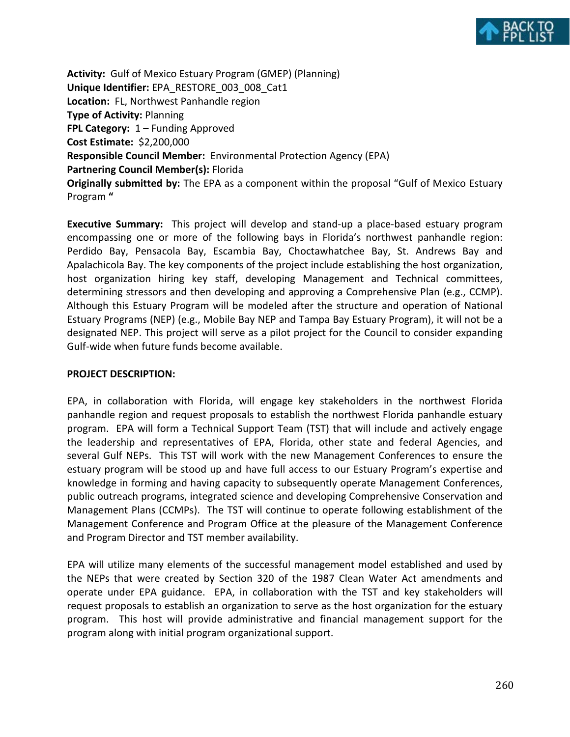

**Activity:** Gulf of Mexico Estuary Program (GMEP) (Planning) **Unique Identifier:** EPA\_RESTORE\_003\_008\_Cat1 **Location:** FL, Northwest Panhandle region **Type of Activity:** Planning **FPL Category:** 1 – Funding Approved **Cost Estimate:** \$2,200,000 **Responsible Council Member:** Environmental Protection Agency (EPA) **Partnering Council Member(s):** Florida **Originally submitted by:** The EPA as a component within the proposal "Gulf of Mexico Estuary Program **"** 

**Executive Summary:** This project will develop and stand-up a place-based estuary program encompassing one or more of the following bays in Florida's northwest panhandle region: Perdido Bay, Pensacola Bay, Escambia Bay, Choctawhatchee Bay, St. Andrews Bay and Apalachicola Bay. The key components of the project include establishing the host organization, host organization hiring key staff, developing Management and Technical committees, determining stressors and then developing and approving a Comprehensive Plan (e.g., CCMP). Although this Estuary Program will be modeled after the structure and operation of National Estuary Programs (NEP) (e.g., Mobile Bay NEP and Tampa Bay Estuary Program), it will not be a designated NEP. This project will serve as a pilot project for the Council to consider expanding Gulf-wide when future funds become available.

## **PROJECT DESCRIPTION:**

EPA, in collaboration with Florida, will engage key stakeholders in the northwest Florida panhandle region and request proposals to establish the northwest Florida panhandle estuary program. EPA will form a Technical Support Team (TST) that will include and actively engage the leadership and representatives of EPA, Florida, other state and federal Agencies, and several Gulf NEPs. This TST will work with the new Management Conferences to ensure the estuary program will be stood up and have full access to our Estuary Program's expertise and knowledge in forming and having capacity to subsequently operate Management Conferences, public outreach programs, integrated science and developing Comprehensive Conservation and Management Plans (CCMPs). The TST will continue to operate following establishment of the Management Conference and Program Office at the pleasure of the Management Conference and Program Director and TST member availability.

EPA will utilize many elements of the successful management model established and used by the NEPs that were created by Section 320 of the 1987 Clean Water Act amendments and operate under EPA guidance. EPA, in collaboration with the TST and key stakeholders will request proposals to establish an organization to serve as the host organization for the estuary program. This host will provide administrative and financial management support for the program along with initial program organizational support.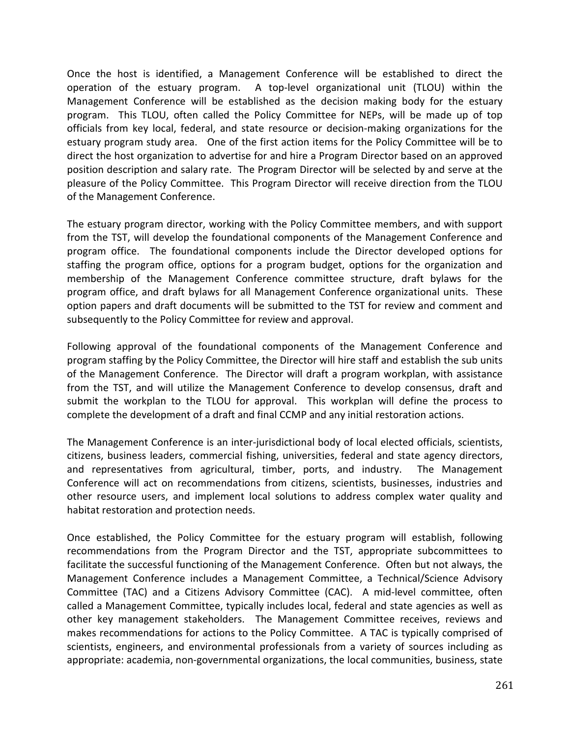Once the host is identified, a Management Conference will be established to direct the operation of the estuary program. A top-level organizational unit (TLOU) within the Management Conference will be established as the decision making body for the estuary program. This TLOU, often called the Policy Committee for NEPs, will be made up of top officials from key local, federal, and state resource or decision-making organizations for the estuary program study area. One of the first action items for the Policy Committee will be to direct the host organization to advertise for and hire a Program Director based on an approved position description and salary rate. The Program Director will be selected by and serve at the pleasure of the Policy Committee. This Program Director will receive direction from the TLOU of the Management Conference.

The estuary program director, working with the Policy Committee members, and with support from the TST, will develop the foundational components of the Management Conference and program office. The foundational components include the Director developed options for staffing the program office, options for a program budget, options for the organization and membership of the Management Conference committee structure, draft bylaws for the program office, and draft bylaws for all Management Conference organizational units. These option papers and draft documents will be submitted to the TST for review and comment and subsequently to the Policy Committee for review and approval.

Following approval of the foundational components of the Management Conference and program staffing by the Policy Committee, the Director will hire staff and establish the sub units of the Management Conference. The Director will draft a program workplan, with assistance from the TST, and will utilize the Management Conference to develop consensus, draft and submit the workplan to the TLOU for approval. This workplan will define the process to complete the development of a draft and final CCMP and any initial restoration actions.

The Management Conference is an inter-jurisdictional body of local elected officials, scientists, citizens, business leaders, commercial fishing, universities, federal and state agency directors, and representatives from agricultural, timber, ports, and industry. The Management Conference will act on recommendations from citizens, scientists, businesses, industries and other resource users, and implement local solutions to address complex water quality and habitat restoration and protection needs.

Once established, the Policy Committee for the estuary program will establish, following recommendations from the Program Director and the TST, appropriate subcommittees to facilitate the successful functioning of the Management Conference. Often but not always, the Management Conference includes a Management Committee, a Technical/Science Advisory Committee (TAC) and a Citizens Advisory Committee (CAC). A mid-level committee, often called a Management Committee, typically includes local, federal and state agencies as well as other key management stakeholders. The Management Committee receives, reviews and makes recommendations for actions to the Policy Committee. A TAC is typically comprised of scientists, engineers, and environmental professionals from a variety of sources including as appropriate: academia, non-governmental organizations, the local communities, business, state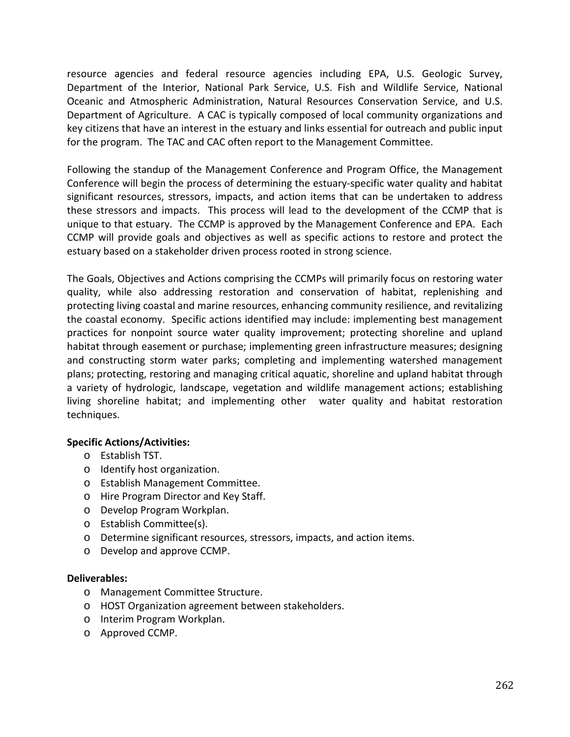resource agencies and federal resource agencies including EPA, U.S. Geologic Survey, Department of the Interior, National Park Service, U.S. Fish and Wildlife Service, National Oceanic and Atmospheric Administration, Natural Resources Conservation Service, and U.S. Department of Agriculture. A CAC is typically composed of local community organizations and key citizens that have an interest in the estuary and links essential for outreach and public input for the program. The TAC and CAC often report to the Management Committee.

Following the standup of the Management Conference and Program Office, the Management Conference will begin the process of determining the estuary-specific water quality and habitat significant resources, stressors, impacts, and action items that can be undertaken to address these stressors and impacts. This process will lead to the development of the CCMP that is unique to that estuary. The CCMP is approved by the Management Conference and EPA. Each CCMP will provide goals and objectives as well as specific actions to restore and protect the estuary based on a stakeholder driven process rooted in strong science.

The Goals, Objectives and Actions comprising the CCMPs will primarily focus on restoring water quality, while also addressing restoration and conservation of habitat, replenishing and protecting living coastal and marine resources, enhancing community resilience, and revitalizing the coastal economy. Specific actions identified may include: implementing best management practices for nonpoint source water quality improvement; protecting shoreline and upland habitat through easement or purchase; implementing green infrastructure measures; designing and constructing storm water parks; completing and implementing watershed management plans; protecting, restoring and managing critical aquatic, shoreline and upland habitat through a variety of hydrologic, landscape, vegetation and wildlife management actions; establishing living shoreline habitat; and implementing other water quality and habitat restoration techniques.

# **Specific Actions/Activities:**

- o Establish TST.
- o Identify host organization.
- o Establish Management Committee.
- o Hire Program Director and Key Staff.
- o Develop Program Workplan.
- o Establish Committee(s).
- o Determine significant resources, stressors, impacts, and action items.
- o Develop and approve CCMP.

## **Deliverables:**

- o Management Committee Structure.
- o HOST Organization agreement between stakeholders.
- o Interim Program Workplan.
- o Approved CCMP.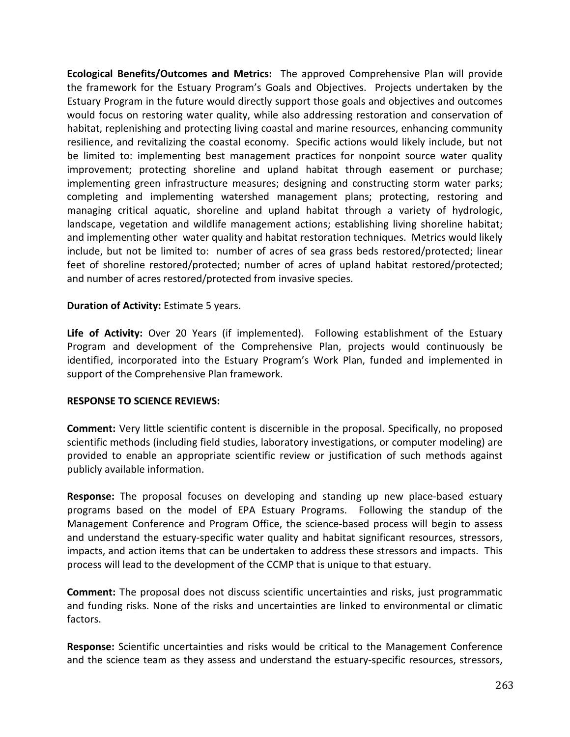**Ecological Benefits/Outcomes and Metrics:** The approved Comprehensive Plan will provide the framework for the Estuary Program's Goals and Objectives. Projects undertaken by the Estuary Program in the future would directly support those goals and objectives and outcomes would focus on restoring water quality, while also addressing restoration and conservation of habitat, replenishing and protecting living coastal and marine resources, enhancing community resilience, and revitalizing the coastal economy. Specific actions would likely include, but not be limited to: implementing best management practices for nonpoint source water quality improvement; protecting shoreline and upland habitat through easement or purchase; implementing green infrastructure measures; designing and constructing storm water parks; completing and implementing watershed management plans; protecting, restoring and managing critical aquatic, shoreline and upland habitat through a variety of hydrologic, landscape, vegetation and wildlife management actions; establishing living shoreline habitat; and implementing other water quality and habitat restoration techniques. Metrics would likely include, but not be limited to: number of acres of sea grass beds restored/protected; linear feet of shoreline restored/protected; number of acres of upland habitat restored/protected; and number of acres restored/protected from invasive species.

## **Duration of Activity:** Estimate 5 years.

**Life of Activity:** Over 20 Years (if implemented). Following establishment of the Estuary Program and development of the Comprehensive Plan, projects would continuously be identified, incorporated into the Estuary Program's Work Plan, funded and implemented in support of the Comprehensive Plan framework.

### **RESPONSE TO SCIENCE REVIEWS:**

**Comment:** Very little scientific content is discernible in the proposal. Specifically, no proposed scientific methods (including field studies, laboratory investigations, or computer modeling) are provided to enable an appropriate scientific review or justification of such methods against publicly available information.

**Response:** The proposal focuses on developing and standing up new place-based estuary programs based on the model of EPA Estuary Programs. Following the standup of the Management Conference and Program Office, the science-based process will begin to assess and understand the estuary-specific water quality and habitat significant resources, stressors, impacts, and action items that can be undertaken to address these stressors and impacts. This process will lead to the development of the CCMP that is unique to that estuary.

**Comment:** The proposal does not discuss scientific uncertainties and risks, just programmatic and funding risks. None of the risks and uncertainties are linked to environmental or climatic factors.

**Response:** Scientific uncertainties and risks would be critical to the Management Conference and the science team as they assess and understand the estuary-specific resources, stressors,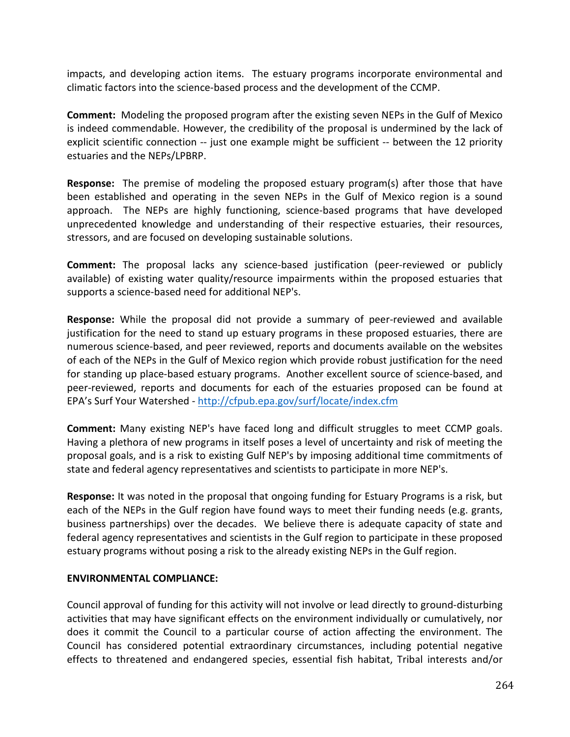impacts, and developing action items. The estuary programs incorporate environmental and climatic factors into the science-based process and the development of the CCMP.

**Comment:** Modeling the proposed program after the existing seven NEPs in the Gulf of Mexico is indeed commendable. However, the credibility of the proposal is undermined by the lack of explicit scientific connection -- just one example might be sufficient -- between the 12 priority estuaries and the NEPs/LPBRP.

**Response:** The premise of modeling the proposed estuary program(s) after those that have been established and operating in the seven NEPs in the Gulf of Mexico region is a sound approach. The NEPs are highly functioning, science-based programs that have developed unprecedented knowledge and understanding of their respective estuaries, their resources, stressors, and are focused on developing sustainable solutions.

**Comment:** The proposal lacks any science-based justification (peer-reviewed or publicly available) of existing water quality/resource impairments within the proposed estuaries that supports a science-based need for additional NEP's.

**Response:** While the proposal did not provide a summary of peer-reviewed and available justification for the need to stand up estuary programs in these proposed estuaries, there are numerous science-based, and peer reviewed, reports and documents available on the websites of each of the NEPs in the Gulf of Mexico region which provide robust justification for the need for standing up place-based estuary programs. Another excellent source of science-based, and peer-reviewed, reports and documents for each of the estuaries proposed can be found at EPA's Surf Your Watershed -<http://cfpub.epa.gov/surf/locate/index.cfm>

**Comment:** Many existing NEP's have faced long and difficult struggles to meet CCMP goals. Having a plethora of new programs in itself poses a level of uncertainty and risk of meeting the proposal goals, and is a risk to existing Gulf NEP's by imposing additional time commitments of state and federal agency representatives and scientists to participate in more NEP's.

**Response:** It was noted in the proposal that ongoing funding for Estuary Programs is a risk, but each of the NEPs in the Gulf region have found ways to meet their funding needs (e.g. grants, business partnerships) over the decades. We believe there is adequate capacity of state and federal agency representatives and scientists in the Gulf region to participate in these proposed estuary programs without posing a risk to the already existing NEPs in the Gulf region.

## **ENVIRONMENTAL COMPLIANCE:**

Council approval of funding for this activity will not involve or lead directly to ground-disturbing activities that may have significant effects on the environment individually or cumulatively, nor does it commit the Council to a particular course of action affecting the environment. The Council has considered potential extraordinary circumstances, including potential negative effects to threatened and endangered species, essential fish habitat, Tribal interests and/or